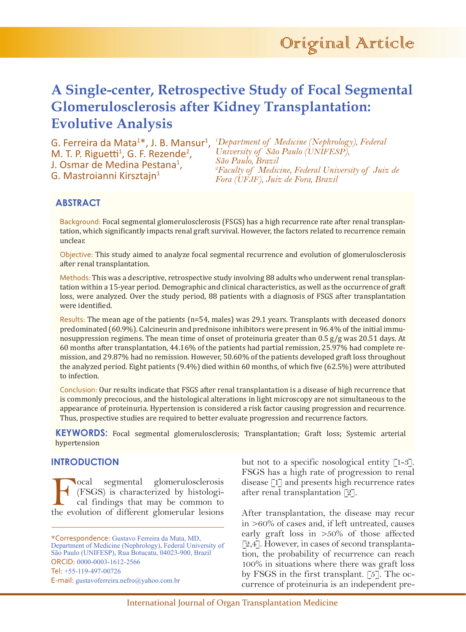# **A Single-center, Retrospective Study of Focal Segmental Glomerulosclerosis after Kidney Transplantation: Evolutive Analysis**

M. T. P. Riguetti<sup>1</sup>, G. F. Rezende<sup>2</sup>, J. Osmar de Medina Pestana<sup>1</sup>, G. Mastroianni Kirsztajn<sup>1</sup>

G. Ferreira da Mata<sup>1\*</sup>, J. B. Mansur<sup>1</sup>, <sup>*'Department of Medicine (Nephrology), Federal*</sup> *University of São Paulo (UNIFESP), São Paulo, Brazil 2 Faculty of Medicine, Federal University of Juiz de Fora (UFJF), Juiz de Fora, Brazil*

# **ABSTRACT**

Background: Focal segmental glomerulosclerosis (FSGS) has a high recurrence rate after renal transplantation, which significantly impacts renal graft survival. However, the factors related to recurrence remain unclear.

Objective: This study aimed to analyze focal segmental recurrence and evolution of glomerulosclerosis after renal transplantation.

Methods: This was a descriptive, retrospective study involving 88 adults who underwent renal transplantation within a 15-year period. Demographic and clinical characteristics, as well as the occurrence of graft loss, were analyzed. Over the study period, 88 patients with a diagnosis of FSGS after transplantation were identified.

Results: The mean age of the patients ( $n=54$ , males) was 29.1 years. Transplants with deceased donors predominated (60.9%). Calcineurin and prednisone inhibitors were present in 96.4% of the initial immunosuppression regimens. The mean time of onset of proteinuria greater than 0.5 g/g was 20.51 days. At 60 months after transplantation, 44.16% of the patients had partial remission, 25.97% had complete remission, and 29.87% had no remission. However, 50.60% of the patients developed graft loss throughout the analyzed period. Eight patients (9.4%) died within 60 months, of which five (62.5%) were attributed to infection.

Conclusion: Our results indicate that FSGS after renal transplantation is a disease of high recurrence that is commonly precocious, and the histological alterations in light microscopy are not simultaneous to the appearance of proteinuria. Hypertension is considered a risk factor causing progression and recurrence. Thus, prospective studies are required to better evaluate progression and recurrence factors.

**KEYWORDS:** Focal segmental glomerulosclerosis; Transplantation; Graft loss; Systemic arterial hypertension

## **INTRODUCTION**

**Focal segmental glomerulosclerosis**<br>(FSGS) is characterized by histological findings that may be common to<br>the evolution of different glomerular lesions (FSGS) is characterized by histological findings that may be common to the evolution of different glomerular lesions

but not to a specific nosological entity  $\lceil 1-3 \rceil$ . FSGS has a high rate of progression to renal disease [1] and presents high recurrence rates after renal transplantation [2].

After transplantation, the disease may recur in >60% of cases and, if left untreated, causes early graft loss in >50% of those affected [2,4]. However, in cases of second transplantation, the probability of recurrence can reach 100% in situations where there was graft loss by FSGS in the first transplant. [5]. The occurrence of proteinuria is an independent pre-

<sup>\*</sup>Correspondence: Gustavo Ferreira da Mata, MD, Department of Medicine (Nephrology), Federal University of São Paulo (UNIFESP), Rua Botucatu, 04023-900, Brazil ORCID: 0000-0003-1612-2566 Tel: +55-119-497-00726 E-mail: gustavoferreira.nefro@yahoo.com.br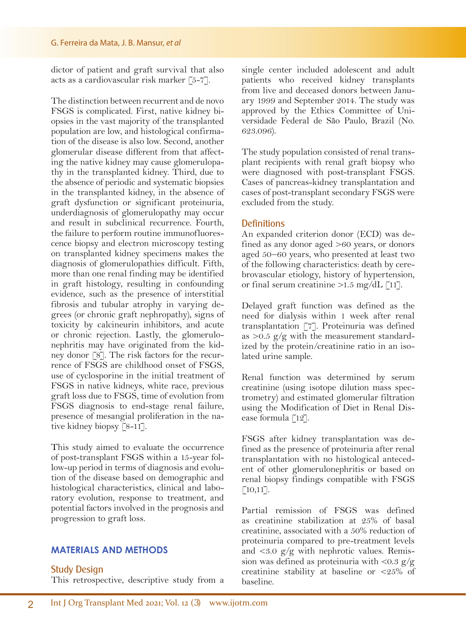dictor of patient and graft survival that also acts as a cardiovascular risk marker [5-7].

The distinction between recurrent and de novo FSGS is complicated. First, native kidney biopsies in the vast majority of the transplanted population are low, and histological confirmation of the disease is also low. Second, another glomerular disease different from that affecting the native kidney may cause glomerulopathy in the transplanted kidney. Third, due to the absence of periodic and systematic biopsies in the transplanted kidney, in the absence of graft dysfunction or significant proteinuria, underdiagnosis of glomerulopathy may occur and result in subclinical recurrence. Fourth, the failure to perform routine immunofluorescence biopsy and electron microscopy testing on transplanted kidney specimens makes the diagnosis of glomerulopathies difficult. Fifth, more than one renal finding may be identified in graft histology, resulting in confounding evidence, such as the presence of interstitial fibrosis and tubular atrophy in varying degrees (or chronic graft nephropathy), signs of toxicity by calcineurin inhibitors, and acute or chronic rejection. Lastly, the glomerulonephritis may have originated from the kidney donor [8]. The risk factors for the recurrence of FSGS are childhood onset of FSGS, use of cyclosporine in the initial treatment of FSGS in native kidneys, white race, previous graft loss due to FSGS, time of evolution from FSGS diagnosis to end-stage renal failure, presence of mesangial proliferation in the native kidney biopsy [8-11].

This study aimed to evaluate the occurrence of post-transplant FSGS within a 15-year follow-up period in terms of diagnosis and evolution of the disease based on demographic and histological characteristics, clinical and laboratory evolution, response to treatment, and potential factors involved in the prognosis and progression to graft loss.

## **MATERIALS AND METHODS**

Study Design

This retrospective, descriptive study from a

single center included adolescent and adult patients who received kidney transplants from live and deceased donors between January 1999 and September 2014. The study was approved by the Ethics Committee of Universidade Federal de São Paulo, Brazil (No. 623.096).

The study population consisted of renal transplant recipients with renal graft biopsy who were diagnosed with post-transplant FSGS. Cases of pancreas-kidney transplantation and cases of post-transplant secondary FSGS were excluded from the study.

#### **Definitions**

An expanded criterion donor (ECD) was defined as any donor aged >60 years, or donors aged 50–60 years, who presented at least two of the following characteristics: death by cerebrovascular etiology, history of hypertension, or final serum creatinine  $>1.5$  mg/dL [11].

Delayed graft function was defined as the need for dialysis within 1 week after renal transplantation [7]. Proteinuria was defined as  $>0.5$  g/g with the measurement standardized by the protein/creatinine ratio in an isolated urine sample.

Renal function was determined by serum creatinine (using isotope dilution mass spectrometry) and estimated glomerular filtration using the Modification of Diet in Renal Disease formula [12].

FSGS after kidney transplantation was defined as the presence of proteinuria after renal transplantation with no histological antecedent of other glomerulonephritis or based on renal biopsy findings compatible with FSGS  $[10,11]$ .

Partial remission of FSGS was defined as creatinine stabilization at 25% of basal creatinine, associated with a 50% reduction of proteinuria compared to pre-treatment levels and  $\langle 3.0 \rangle$  g/g with nephrotic values. Remission was defined as proteinuria with  $\langle 0.3 \rangle$   $g/g$ creatinine stability at baseline or <25% of baseline.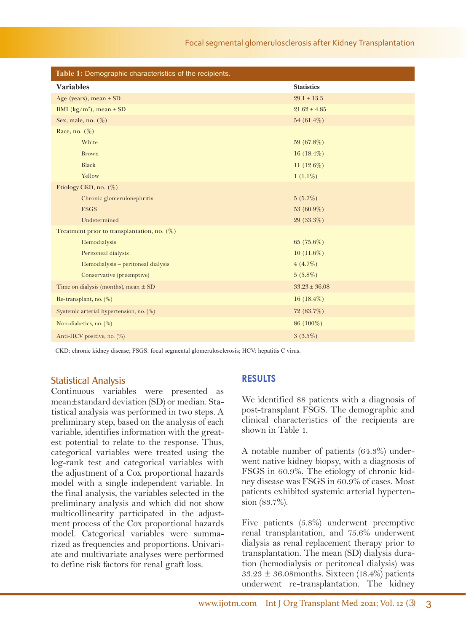## Focal segmental glomerulosclerosis after Kidney Transplantation

| Table 1: Demographic characteristics of the recipients. |                   |  |  |  |  |  |
|---------------------------------------------------------|-------------------|--|--|--|--|--|
| <b>Variables</b>                                        | <b>Statistics</b> |  |  |  |  |  |
| Age (years), mean $\pm$ SD                              | $29.1 \pm 13.3$   |  |  |  |  |  |
| BMI ( $\text{kg/m}^2$ ), mean $\pm$ SD                  | $21.62 \pm 4.85$  |  |  |  |  |  |
| Sex, male, no. $(\%)$                                   | 54 (61.4%)        |  |  |  |  |  |
| Race, no. (%)                                           |                   |  |  |  |  |  |
| White                                                   | 59 (67.8%)        |  |  |  |  |  |
| <b>Brown</b>                                            | 16 $(18.4\%)$     |  |  |  |  |  |
| Black                                                   | 11 $(12.6\%)$     |  |  |  |  |  |
| Yellow                                                  | $1(1.1\%)$        |  |  |  |  |  |
| Etiology CKD, no. (%)                                   |                   |  |  |  |  |  |
| Chronic glomerulonephritis                              | $5(5.7\%)$        |  |  |  |  |  |
| <b>FSGS</b>                                             | 53 (60.9%)        |  |  |  |  |  |
| Undetermined                                            | 29 (33.3%)        |  |  |  |  |  |
| Treatment prior to transplantation, no. $(\%)$          |                   |  |  |  |  |  |
| Hemodialysis                                            | 65 (75.6%)        |  |  |  |  |  |
| Peritoneal dialysis                                     | $10(11.6\%)$      |  |  |  |  |  |
| Hemodialysis - peritoneal dialysis                      | $4(4.7\%)$        |  |  |  |  |  |
| Conservative (preemptive)                               | $5(5.8\%)$        |  |  |  |  |  |
| Time on dialysis (months), mean $\pm$ SD                | $33.23 \pm 36.08$ |  |  |  |  |  |
| Re-transplant, no. (%)                                  | 16 $(18.4\%)$     |  |  |  |  |  |
| Systemic arterial hypertension, no. (%)                 | $72(83.7\%)$      |  |  |  |  |  |
| Non-diabetics, no. (%)                                  | 86 (100%)         |  |  |  |  |  |
| Anti-HCV positive, no. (%)                              | $3(3.5\%)$        |  |  |  |  |  |

CKD: chronic kidney disease; FSGS: focal segmental glomerulosclerosis; HCV: hepatitis C virus.

## Statistical Analysis

Continuous variables were presented as mean±standard deviation (SD) or median. Statistical analysis was performed in two steps. A preliminary step, based on the analysis of each variable, identifies information with the greatest potential to relate to the response. Thus, categorical variables were treated using the log-rank test and categorical variables with the adjustment of a Cox proportional hazards model with a single independent variable. In the final analysis, the variables selected in the preliminary analysis and which did not show multicollinearity participated in the adjustment process of the Cox proportional hazards model. Categorical variables were summarized as frequencies and proportions. Univariate and multivariate analyses were performed to define risk factors for renal graft loss.

## **RESULTS**

We identified 88 patients with a diagnosis of post-transplant FSGS. The demographic and clinical characteristics of the recipients are shown in Table 1.

A notable number of patients (64.3%) underwent native kidney biopsy, with a diagnosis of FSGS in 60.9%. The etiology of chronic kidney disease was FSGS in 60.9% of cases. Most patients exhibited systemic arterial hypertension (83.7%).

Five patients (5.8%) underwent preemptive renal transplantation, and 75.6% underwent dialysis as renal replacement therapy prior to transplantation. The mean (SD) dialysis duration (hemodialysis or peritoneal dialysis) was  $33.23 \pm 36.08$  months. Sixteen (18.4%) patients underwent re-transplantation. The kidney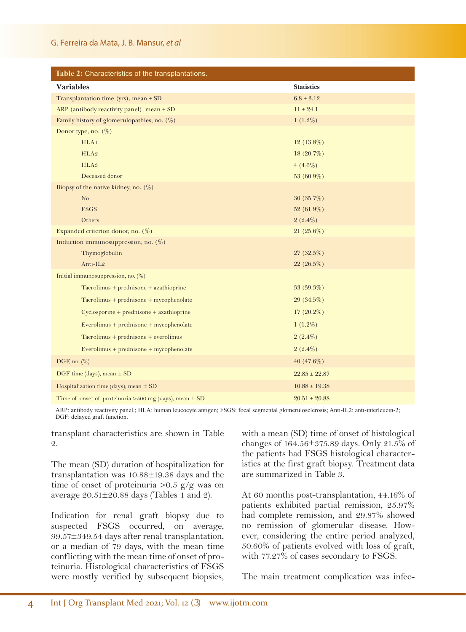#### G. Ferreira da Mata, J. B. Mansur, *et al*

| Table 2: Characteristics of the transplantations.          |                   |  |  |  |  |
|------------------------------------------------------------|-------------------|--|--|--|--|
| <b>Variables</b>                                           | <b>Statistics</b> |  |  |  |  |
| Transplantation time (yrs), mean $\pm$ SD                  | $6.8 \pm 3.12$    |  |  |  |  |
| ARP (antibody reactivity panel), mean $\pm$ SD             | $11 \pm 24.1$     |  |  |  |  |
| Family history of glomerulopathies, no. $(\%)$             | $1(1.2\%)$        |  |  |  |  |
| Donor type, no. (%)                                        |                   |  |  |  |  |
| HLA1                                                       | $12(13.8\%)$      |  |  |  |  |
| HLA2                                                       | $18(20.7\%)$      |  |  |  |  |
| HLA <sub>3</sub>                                           | $4(4.6\%)$        |  |  |  |  |
| Deceased donor                                             | 53 (60.9%)        |  |  |  |  |
| Biopsy of the native kidney, no. $(\%)$                    |                   |  |  |  |  |
| N <sub>o</sub>                                             | $30(35.7\%)$      |  |  |  |  |
| <b>FSGS</b>                                                | 52 (61.9%)        |  |  |  |  |
| Others                                                     | $2(2.4\%)$        |  |  |  |  |
| Expanded criterion donor, no. $(\%)$                       | $21(25.6\%)$      |  |  |  |  |
| Induction immunosuppression, no. (%)                       |                   |  |  |  |  |
| Thymoglobulin                                              | $27(32.5\%)$      |  |  |  |  |
| Anti-IL2                                                   | 22 (26.5%)        |  |  |  |  |
| Initial immunosuppression, no. (%)                         |                   |  |  |  |  |
| $Tacrolimus + prednisone + azathioprine$                   | $33(39.3\%)$      |  |  |  |  |
| Tacrolimus + prednisone + mycophenolate                    | 29 (34.5%)        |  |  |  |  |
| $Cyclosporine + prednisone + azathioprine$                 | $17(20.2\%)$      |  |  |  |  |
| $Even$ limus + prednisone + mycophenolate                  | $1(1.2\%)$        |  |  |  |  |
| $Tacrolimus + prednisone + evenolimus$                     | $2(2.4\%)$        |  |  |  |  |
| Everolimus + prednisone + mycophenolate                    | $2(2.4\%)$        |  |  |  |  |
| DGF, no. (%)                                               | 40 $(47.6\%)$     |  |  |  |  |
| DGF time (days), mean $\pm$ SD                             | $22.85 \pm 22.87$ |  |  |  |  |
| Hospitalization time (days), mean $\pm$ SD                 | $10.88 \pm 19.38$ |  |  |  |  |
| Time of onset of proteinuria >500 mg (days), mean $\pm$ SD | $20.51 \pm 20.88$ |  |  |  |  |

ARP: antibody reactivity panel.; HLA: human leucocyte antigen; FSGS: focal segmental glomerulosclerosis; Anti-IL2: anti-interleucin-2; DGF: delayed graft function.

transplant characteristics are shown in Table 2.

The mean (SD) duration of hospitalization for transplantation was 10.88±19.38 days and the time of onset of proteinuria  $> 0.5$  g/g was on average  $20.51 \pm 20.88$  days (Tables 1 and 2).

Indication for renal graft biopsy due to suspected FSGS occurred, on average, 99.57±349.54 days after renal transplantation, or a median of 79 days, with the mean time conflicting with the mean time of onset of proteinuria. Histological characteristics of FSGS were mostly verified by subsequent biopsies, with a mean (SD) time of onset of histological changes of 164.56±375.89 days. Only 21.5% of the patients had FSGS histological characteristics at the first graft biopsy. Treatment data are summarized in Table 3.

At 60 months post-transplantation, 44.16% of patients exhibited partial remission, 25.97% had complete remission, and 29.87% showed no remission of glomerular disease. However, considering the entire period analyzed, 50.60% of patients evolved with loss of graft, with 77.27% of cases secondary to FSGS.

The main treatment complication was infec-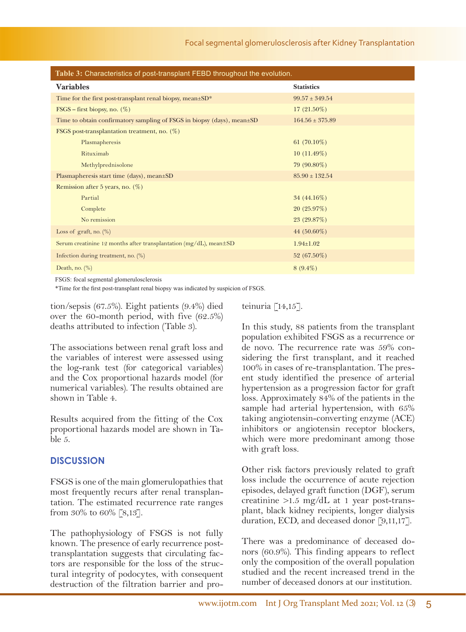| Table 3: Characteristics of post-transplant FEBD throughout the evolution.  |                     |  |  |  |  |  |  |
|-----------------------------------------------------------------------------|---------------------|--|--|--|--|--|--|
| <b>Variables</b>                                                            | <b>Statistics</b>   |  |  |  |  |  |  |
| Time for the first post-transplant renal biopsy, mean±SD*                   | $99.57 \pm 349.54$  |  |  |  |  |  |  |
| $FSGS - first$ biopsy, no. $(\%)$                                           | $17(21.50\%)$       |  |  |  |  |  |  |
| Time to obtain confirmatory sampling of FSGS in biopsy (days), mean±SD      | $164.56 \pm 375.89$ |  |  |  |  |  |  |
| FSGS post-transplantation treatment, no. $(\%)$                             |                     |  |  |  |  |  |  |
| Plasmapheresis                                                              | 61 $(70.10\%)$      |  |  |  |  |  |  |
| Rituximab                                                                   | $10(11.49\%)$       |  |  |  |  |  |  |
| Methylprednisolone                                                          | $79(90.80\%)$       |  |  |  |  |  |  |
| Plasmapheresis start time (days), mean±SD                                   | $85.90 \pm 132.54$  |  |  |  |  |  |  |
| Remission after $5$ years, no. $(\%)$                                       |                     |  |  |  |  |  |  |
| Partial                                                                     | 34 (44.16%)         |  |  |  |  |  |  |
| Complete                                                                    | 20(25.97%)          |  |  |  |  |  |  |
| No remission                                                                | 23 (29.87%)         |  |  |  |  |  |  |
| Loss of graft, no. $(\%)$                                                   | 44 $(50.60\%)$      |  |  |  |  |  |  |
| Serum creatinine 12 months after transplantation ( $mg/dL$ ), mean $\pm SD$ | $1.94 \pm 1.02$     |  |  |  |  |  |  |
| Infection during treatment, no. (%)                                         | 52 (67.50%)         |  |  |  |  |  |  |
| Death, no. $(\%)$                                                           | $8(9.4\%)$          |  |  |  |  |  |  |
|                                                                             |                     |  |  |  |  |  |  |

FSGS: focal segmental glomerulosclerosis

\*Time for the first post-transplant renal biopsy was indicated by suspicion of FSGS.

tion/sepsis (67.5%). Eight patients (9.4%) died over the 60-month period, with five (62.5%) deaths attributed to infection (Table 3).

The associations between renal graft loss and the variables of interest were assessed using the log-rank test (for categorical variables) and the Cox proportional hazards model (for numerical variables). The results obtained are shown in Table 4.

Results acquired from the fitting of the Cox proportional hazards model are shown in Table 5.

## **DISCUSSION**

FSGS is one of the main glomerulopathies that most frequently recurs after renal transplantation. The estimated recurrence rate ranges from 30% to 60% [8,13].

The pathophysiology of FSGS is not fully known. The presence of early recurrence posttransplantation suggests that circulating factors are responsible for the loss of the structural integrity of podocytes, with consequent destruction of the filtration barrier and proteinuria [14,15].

In this study, 88 patients from the transplant population exhibited FSGS as a recurrence or de novo. The recurrence rate was 59% considering the first transplant, and it reached 100% in cases of re-transplantation. The present study identified the presence of arterial hypertension as a progression factor for graft loss. Approximately 84% of the patients in the sample had arterial hypertension, with 65% taking angiotensin-converting enzyme (ACE) inhibitors or angiotensin receptor blockers, which were more predominant among those with graft loss.

Other risk factors previously related to graft loss include the occurrence of acute rejection episodes, delayed graft function (DGF), serum creatinine >1.5 mg/dL at 1 year post-transplant, black kidney recipients, longer dialysis duration, ECD, and deceased donor [9,11,17].

There was a predominance of deceased donors (60.9%). This finding appears to reflect only the composition of the overall population studied and the recent increased trend in the number of deceased donors at our institution.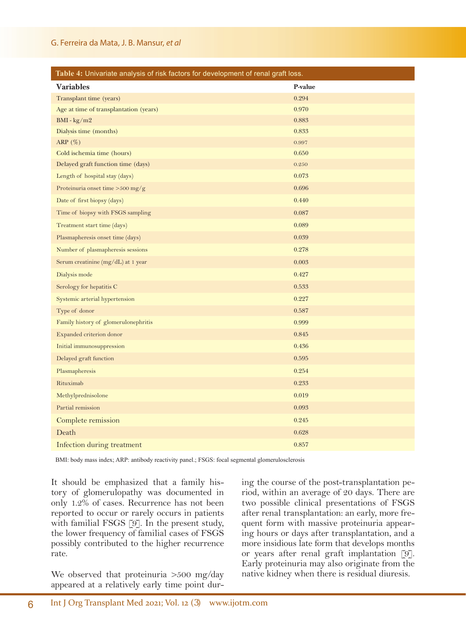## G. Ferreira da Mata, J. B. Mansur, *et al*

| Table 4: Univariate analysis of risk factors for development of renal graft loss. |         |  |  |  |  |
|-----------------------------------------------------------------------------------|---------|--|--|--|--|
| <b>Variables</b>                                                                  | P-value |  |  |  |  |
| Transplant time (years)                                                           | 0.294   |  |  |  |  |
| Age at time of transplantation (years)                                            | 0.970   |  |  |  |  |
| $BMI - kg/m2$                                                                     | 0.883   |  |  |  |  |
| Dialysis time (months)                                                            | 0.833   |  |  |  |  |
| ARP $(\%)$                                                                        | 0.997   |  |  |  |  |
| Cold ischemia time (hours)                                                        | 0.650   |  |  |  |  |
| Delayed graft function time (days)                                                | 0.250   |  |  |  |  |
| Length of hospital stay (days)                                                    | 0.073   |  |  |  |  |
| Proteinuria onset time >500 mg/g                                                  | 0.696   |  |  |  |  |
| Date of first biopsy (days)                                                       | 0.440   |  |  |  |  |
| Time of biopsy with FSGS sampling                                                 | 0.087   |  |  |  |  |
| Treatment start time (days)                                                       | 0.089   |  |  |  |  |
| Plasmapheresis onset time (days)                                                  | 0.039   |  |  |  |  |
| Number of plasmapheresis sessions                                                 | 0.278   |  |  |  |  |
| Serum creatinine (mg/dL) at 1 year                                                | 0.003   |  |  |  |  |
| Dialysis mode                                                                     | 0.427   |  |  |  |  |
| Serology for hepatitis C                                                          | 0.533   |  |  |  |  |
| Systemic arterial hypertension                                                    | 0.227   |  |  |  |  |
| Type of donor                                                                     | 0.587   |  |  |  |  |
| Family history of glomerulonephritis                                              | 0.999   |  |  |  |  |
| Expanded criterion donor                                                          | 0.845   |  |  |  |  |
| Initial immunosuppression                                                         | 0.436   |  |  |  |  |
| Delayed graft function                                                            | 0.595   |  |  |  |  |
| Plasmapheresis                                                                    | 0.254   |  |  |  |  |
| Rituximab                                                                         | 0.233   |  |  |  |  |
| Methylprednisolone                                                                | 0.019   |  |  |  |  |
| Partial remission                                                                 | 0.093   |  |  |  |  |
| Complete remission                                                                | 0.245   |  |  |  |  |
| Death                                                                             | 0.628   |  |  |  |  |
| Infection during treatment                                                        | 0.857   |  |  |  |  |

BMI: body mass index; ARP: antibody reactivity panel.; FSGS: focal segmental glomerulosclerosis

It should be emphasized that a family history of glomerulopathy was documented in only 1.2% of cases. Recurrence has not been reported to occur or rarely occurs in patients with familial FSGS [9]. In the present study, the lower frequency of familial cases of FSGS possibly contributed to the higher recurrence rate.

We observed that proteinuria >500 mg/day appeared at a relatively early time point during the course of the post-transplantation period, within an average of 20 days. There are two possible clinical presentations of FSGS after renal transplantation: an early, more frequent form with massive proteinuria appearing hours or days after transplantation, and a more insidious late form that develops months or years after renal graft implantation [9]. Early proteinuria may also originate from the native kidney when there is residual diuresis.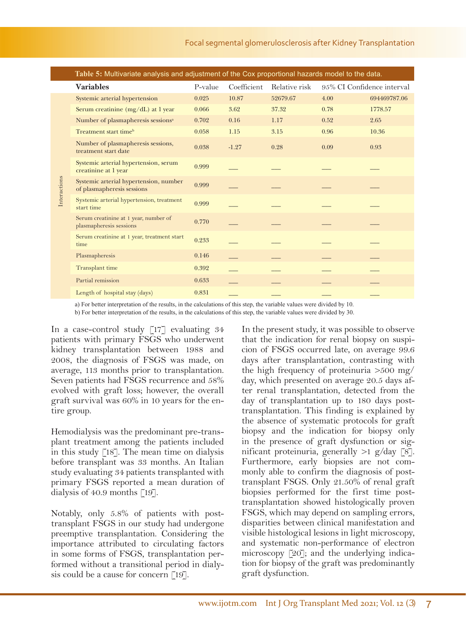| Table 5: Multivariate analysis and adjustment of the Cox proportional hazards model to the data. |                                                                      |         |             |               |                            |              |  |  |
|--------------------------------------------------------------------------------------------------|----------------------------------------------------------------------|---------|-------------|---------------|----------------------------|--------------|--|--|
|                                                                                                  | <b>Variables</b>                                                     | P-value | Coefficient | Relative risk | 95% CI Confidence interval |              |  |  |
|                                                                                                  | Systemic arterial hypertension                                       | 0.025   | 10.87       | 52679.67      | 4.00                       | 694469787.06 |  |  |
|                                                                                                  | Serum creatinine (mg/dL) at 1 year                                   | 0.066   | 3.62        | 37.32         | 0.78                       | 1778.57      |  |  |
|                                                                                                  | Number of plasmapheresis sessions <sup>a</sup>                       | 0.702   | 0.16        | 1.17          | 0.52                       | 2.65         |  |  |
|                                                                                                  | Treatment start time <sup>b</sup>                                    | 0.058   | 1.15        | 3.15          | 0.96                       | 10.36        |  |  |
|                                                                                                  | Number of plasmapheresis sessions,<br>treatment start date           | 0.038   | $-1.27$     | 0.28          | 0.09                       | 0.93         |  |  |
|                                                                                                  | Systemic arterial hypertension, serum<br>creatinine at 1 year        | 0.999   |             |               |                            |              |  |  |
|                                                                                                  | Systemic arterial hypertension, number<br>of plasmapheresis sessions | 0.999   |             |               |                            |              |  |  |
|                                                                                                  | Systemic arterial hypertension, treatment<br>start time              | 0.999   |             |               |                            |              |  |  |
|                                                                                                  | Serum creatinine at 1 year, number of<br>plasmapheresis sessions     | 0.770   |             |               |                            |              |  |  |
|                                                                                                  | Serum creatinine at 1 year, treatment start<br>time                  | 0.233   |             |               |                            |              |  |  |
|                                                                                                  | Plasmapheresis                                                       | 0.146   |             |               |                            |              |  |  |
|                                                                                                  | Transplant time                                                      | 0.392   |             |               |                            |              |  |  |
|                                                                                                  | Partial remission                                                    | 0.633   |             |               |                            |              |  |  |
|                                                                                                  | Length of hospital stay (days)                                       | 0.831   |             |               |                            |              |  |  |

**Table 5:** Multivariate analysis and adjustment of the Cox proportional hazards model to the data.

a) For better interpretation of the results, in the calculations of this step, the variable values were divided by 10.

b) For better interpretation of the results, in the calculations of this step, the variable values were divided by 30.

In a case-control study [17] evaluating 34 patients with primary FSGS who underwent kidney transplantation between 1988 and 2008, the diagnosis of FSGS was made, on average, 113 months prior to transplantation. Seven patients had FSGS recurrence and 58% evolved with graft loss; however, the overall graft survival was 60% in 10 years for the entire group.

Interactions

Interactions

Hemodialysis was the predominant pre-transplant treatment among the patients included in this study [18]. The mean time on dialysis before transplant was 33 months. An Italian study evaluating 34 patients transplanted with primary FSGS reported a mean duration of dialysis of 40.9 months [19].

Notably, only 5.8% of patients with posttransplant FSGS in our study had undergone preemptive transplantation. Considering the importance attributed to circulating factors in some forms of FSGS, transplantation performed without a transitional period in dialysis could be a cause for concern [19].

In the present study, it was possible to observe that the indication for renal biopsy on suspicion of FSGS occurred late, on average 99.6 days after transplantation, contrasting with the high frequency of proteinuria  $>500$  mg/ day, which presented on average 20.5 days after renal transplantation, detected from the day of transplantation up to 180 days posttransplantation. This finding is explained by the absence of systematic protocols for graft biopsy and the indication for biopsy only in the presence of graft dysfunction or significant proteinuria, generally >1 g/day [8]. Furthermore, early biopsies are not commonly able to confirm the diagnosis of posttransplant FSGS. Only 21.50% of renal graft biopsies performed for the first time posttransplantation showed histologically proven FSGS, which may depend on sampling errors, disparities between clinical manifestation and visible histological lesions in light microscopy, and systematic non-performance of electron microscopy [20]; and the underlying indication for biopsy of the graft was predominantly graft dysfunction.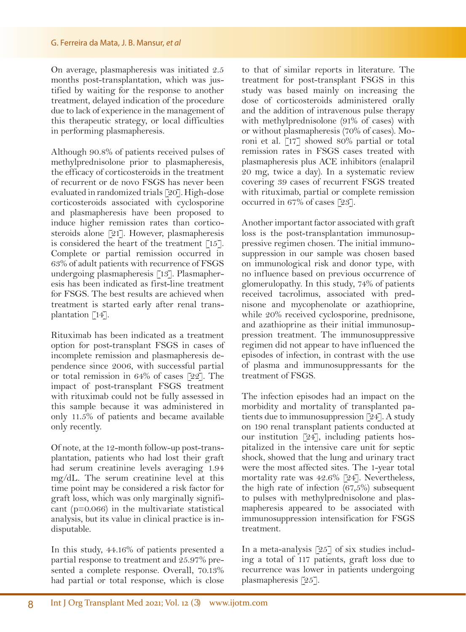On average, plasmapheresis was initiated 2.5 months post-transplantation, which was justified by waiting for the response to another treatment, delayed indication of the procedure due to lack of experience in the management of this therapeutic strategy, or local difficulties in performing plasmapheresis.

Although 90.8% of patients received pulses of methylprednisolone prior to plasmapheresis, the efficacy of corticosteroids in the treatment of recurrent or de novo FSGS has never been evaluated in randomized trials [20]. High-dose corticosteroids associated with cyclosporine and plasmapheresis have been proposed to induce higher remission rates than corticosteroids alone [21]. However, plasmapheresis is considered the heart of the treatment [15]. Complete or partial remission occurred in 63% of adult patients with recurrence of FSGS undergoing plasmapheresis [13]. Plasmapheresis has been indicated as first-line treatment for FSGS. The best results are achieved when treatment is started early after renal transplantation [14].

Rituximab has been indicated as a treatment option for post-transplant FSGS in cases of incomplete remission and plasmapheresis dependence since 2006, with successful partial or total remission in 64% of cases [22]. The impact of post-transplant FSGS treatment with rituximab could not be fully assessed in this sample because it was administered in only 11.5% of patients and became available only recently.

Of note, at the 12-month follow-up post-transplantation, patients who had lost their graft had serum creatinine levels averaging 1.94 mg/dL. The serum creatinine level at this time point may be considered a risk factor for graft loss, which was only marginally significant (p=0.066) in the multivariate statistical analysis, but its value in clinical practice is indisputable.

In this study, 44.16% of patients presented a partial response to treatment and 25.97% presented a complete response. Overall, 70.13% had partial or total response, which is close

to that of similar reports in literature. The treatment for post-transplant FSGS in this study was based mainly on increasing the dose of corticosteroids administered orally and the addition of intravenous pulse therapy with methylprednisolone (91% of cases) with or without plasmapheresis (70% of cases). Moroni et al. [17] showed 80% partial or total remission rates in FSGS cases treated with plasmapheresis plus ACE inhibitors (enalapril 20 mg, twice a day). In a systematic review covering 39 cases of recurrent FSGS treated with rituximab, partial or complete remission occurred in 67% of cases [23].

Another important factor associated with graft loss is the post-transplantation immunosuppressive regimen chosen. The initial immunosuppression in our sample was chosen based on immunological risk and donor type, with no influence based on previous occurrence of glomerulopathy. In this study, 74% of patients received tacrolimus, associated with prednisone and mycophenolate or azathioprine, while 20% received cyclosporine, prednisone, and azathioprine as their initial immunosuppression treatment. The immunosuppressive regimen did not appear to have influenced the episodes of infection, in contrast with the use of plasma and immunosuppressants for the treatment of FSGS.

The infection episodes had an impact on the morbidity and mortality of transplanted patients due to immunosuppression [24]. A study on 190 renal transplant patients conducted at our institution [24], including patients hospitalized in the intensive care unit for septic shock, showed that the lung and urinary tract were the most affected sites. The 1-year total mortality rate was 42.6% [24]. Nevertheless, the high rate of infection (67,5%) subsequent to pulses with methylprednisolone and plasmapheresis appeared to be associated with immunosuppression intensification for FSGS treatment.

In a meta-analysis [25] of six studies including a total of 117 patients, graft loss due to recurrence was lower in patients undergoing plasmapheresis [25].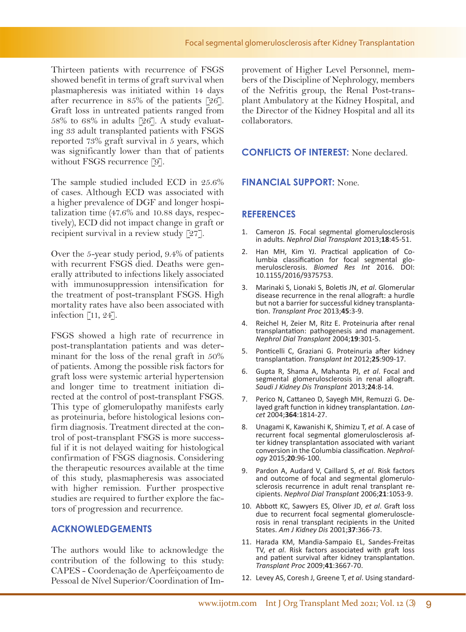Thirteen patients with recurrence of FSGS showed benefit in terms of graft survival when plasmapheresis was initiated within 14 days after recurrence in 85% of the patients [26]. Graft loss in untreated patients ranged from 58% to 68% in adults [26]. A study evaluating 33 adult transplanted patients with FSGS reported 73% graft survival in 5 years, which was significantly lower than that of patients without FSGS recurrence [9].

The sample studied included ECD in 25.6% of cases. Although ECD was associated with a higher prevalence of DGF and longer hospitalization time (47.6% and 10.88 days, respectively), ECD did not impact change in graft or recipient survival in a review study [27].

Over the 5-year study period, 9.4% of patients with recurrent FSGS died. Deaths were generally attributed to infections likely associated with immunosuppression intensification for the treatment of post-transplant FSGS. High mortality rates have also been associated with infection [11, 24].

FSGS showed a high rate of recurrence in post-transplantation patients and was determinant for the loss of the renal graft in 50% of patients. Among the possible risk factors for graft loss were systemic arterial hypertension and longer time to treatment initiation directed at the control of post-transplant FSGS. This type of glomerulopathy manifests early as proteinuria, before histological lesions confirm diagnosis. Treatment directed at the control of post-transplant FSGS is more successful if it is not delayed waiting for histological confirmation of FSGS diagnosis. Considering the therapeutic resources available at the time of this study, plasmapheresis was associated with higher remission. Further prospective studies are required to further explore the factors of progression and recurrence.

## **ACKNOWLEDGEMENTS**

The authors would like to acknowledge the contribution of the following to this study: CAPES - Coordenação de Aperfeiçoamento de Pessoal de Nível Superior/Coordination of Improvement of Higher Level Personnel, members of the Discipline of Nephrology, members of the Nefritis group, the Renal Post-transplant Ambulatory at the Kidney Hospital, and the Director of the Kidney Hospital and all its collaborators.

## **CONFLICTS OF INTEREST:** None declared.

## **FINANCIAL SUPPORT:** None.

## **REFERENCES**

- 1. Cameron JS. Focal segmental glomerulosclerosis in adults. *Nephrol Dial Transplant* 2013;**18**:45-51.
- 2. Han MH, Kim YJ. Practical application of Columbia classification for focal segmental glomerulosclerosis. *Biomed Res Int* 2016. DOI: 10.1155/2016/9375753.
- 3. Marinaki S, Lionaki S, Boletis JN, *et al*. Glomerular disease recurrence in the renal allograft: a hurdle but not a barrier for successful kidney transplantation. *Transplant Proc* 2013;**45**:3-9.
- 4. Reichel H, Zeier M, Ritz E. Proteinuria after renal transplantation: pathogenesis and management. *Nephrol Dial Transplant* 2004;**19**:301-5.
- 5. Ponticelli C, Graziani G. Proteinuria after kidney transplantation. *Transplant Int* 2012;**25**:909-17.
- 6. Gupta R, Shama A, Mahanta PJ, *et al*. Focal and segmental glomerulosclerosis in renal allograft. *Saudi J Kidney Dis Transplant* 2013;**24**:8-14.
- 7. Perico N, Cattaneo D, Sayegh MH, Remuzzi G. De- layed graft function in kidney transplantation. *Lan- cet* 2004;**364**:1814-27.
- 8. Unagami K, Kawanishi K, Shimizu T, *et al*. A case of ter kidney transplantation associated with variant conversion in the Columbia classification. *Nephrol- ogy* 2015;**20**:96-100.
- 9. Pardon A, Audard V, Caillard S, *et al*. Risk factors and outcome of focal and segmental glomerulosclerosis recurrence in adult renal transplant recipients. *Nephrol Dial Transplant* 2006;**21**:1053-9.
- 10. Abbott KC, Sawyers ES, Oliver JD, *et al*. Graft loss due to recurrent focal segmental glomerulosclerosis in renal transplant recipients in the United States. *Am J Kidney Dis* 2001;**37**:366-73.
- 11. Harada KM, Mandia-Sampaio EL, Sandes-Freitas TV, *et al*. Risk factors associated with graft loss and patient survival after kidney transplantation. *Transplant Proc* 2009;**41**:3667-70.
- 12. Levey AS, Coresh J, Greene T, *et al*. Using standard-